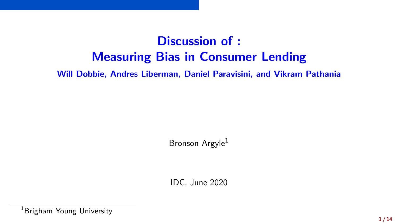# Discussion of : Measuring Bias in Consumer Lending

Will Dobbie, Andres Liberman, Daniel Paravisini, and Vikram Pathania

Bronson Argyle<sup>1</sup>

IDC, June 2020

<sup>&</sup>lt;sup>1</sup>Brigham Young University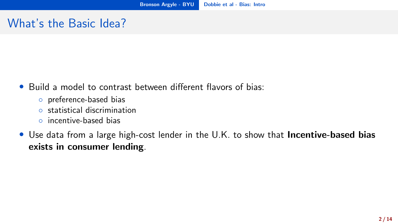#### <span id="page-1-0"></span>What's the Basic Idea?

- Build a model to contrast between different flavors of bias:
	- preference-based bias
	- statistical discrimination
	- incentive-based bias
- Use data from a large high-cost lender in the U.K. to show that **Incentive-based bias** exists in consumer lending.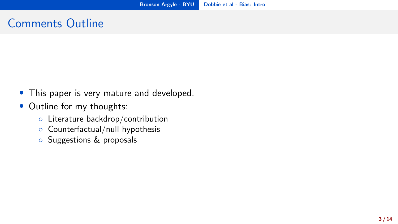#### Comments Outline

- This paper is very mature and developed.
- Outline for my thoughts:
	- Literature backdrop/contribution
	- Counterfactual/null hypothesis
	- Suggestions & proposals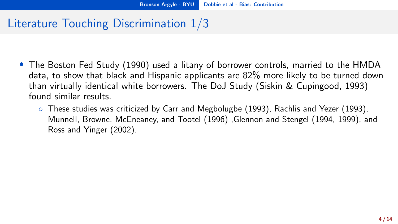## <span id="page-3-0"></span>Literature Touching Discrimination 1/3

- The Boston Fed Study (1990) used a litany of borrower controls, married to the HMDA data, to show that black and Hispanic applicants are 82% more likely to be turned down than virtually identical white borrowers. The DoJ Study (Siskin & Cupingood, 1993) found similar results.
	- These studies was criticized by Carr and Megbolugbe (1993), Rachlis and Yezer (1993), Munnell, Browne, McEneaney, and Tootel (1996) ,Glennon and Stengel (1994, 1999), and Ross and Yinger (2002).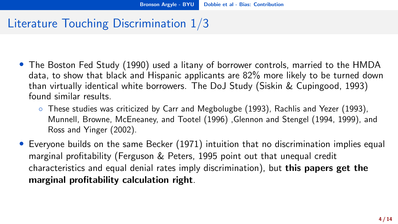## Literature Touching Discrimination 1/3

- The Boston Fed Study (1990) used a litany of borrower controls, married to the HMDA data, to show that black and Hispanic applicants are 82% more likely to be turned down than virtually identical white borrowers. The DoJ Study (Siskin & Cupingood, 1993) found similar results.
	- These studies was criticized by Carr and Megbolugbe (1993), Rachlis and Yezer (1993), Munnell, Browne, McEneaney, and Tootel (1996) ,Glennon and Stengel (1994, 1999), and Ross and Yinger (2002).
- Everyone builds on the same Becker (1971) intuition that no discrimination implies equal marginal profitability (Ferguson & Peters, 1995 point out that unequal credit characteristics and equal denial rates imply discrimination), but this papers get the marginal profitability calculation right.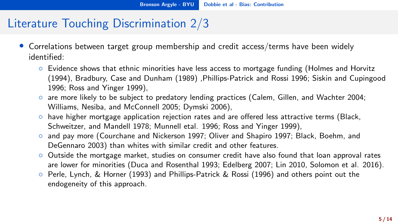### Literature Touching Discrimination 2/3

- Correlations between target group membership and credit access/terms have been widely identified:
	- Evidence shows that ethnic minorities have less access to mortgage funding (Holmes and Horvitz (1994), Bradbury, Case and Dunham (1989) ,Phillips-Patrick and Rossi 1996; Siskin and Cupingood 1996; Ross and Yinger 1999),
	- are more likely to be subject to predatory lending practices (Calem, Gillen, and Wachter 2004; Williams, Nesiba, and McConnell 2005; Dymski 2006),
	- have higher mortgage application rejection rates and are offered less attractive terms (Black, Schweitzer, and Mandell 1978; Munnell etal. 1996; Ross and Yinger 1999),
	- and pay more (Courchane and Nickerson 1997; Oliver and Shapiro 1997; Black, Boehm, and DeGennaro 2003) than whites with similar credit and other features.
	- Outside the mortgage market, studies on consumer credit have also found that loan approval rates are lower for minorities (Duca and Rosenthal 1993; Edelberg 2007; Lin 2010, Solomon et al. 2016).
	- Perle, Lynch, & Horner (1993) and Phillips-Patrick & Rossi (1996) and others point out the endogeneity of this approach.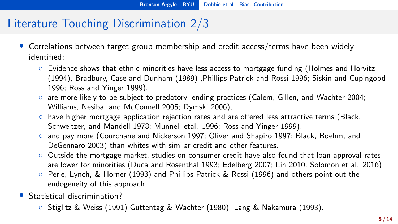### Literature Touching Discrimination 2/3

- Correlations between target group membership and credit access/terms have been widely identified:
	- Evidence shows that ethnic minorities have less access to mortgage funding (Holmes and Horvitz (1994), Bradbury, Case and Dunham (1989) ,Phillips-Patrick and Rossi 1996; Siskin and Cupingood 1996; Ross and Yinger 1999),
	- are more likely to be subject to predatory lending practices (Calem, Gillen, and Wachter 2004; Williams, Nesiba, and McConnell 2005; Dymski 2006),
	- have higher mortgage application rejection rates and are offered less attractive terms (Black, Schweitzer, and Mandell 1978; Munnell etal. 1996; Ross and Yinger 1999),
	- and pay more (Courchane and Nickerson 1997; Oliver and Shapiro 1997; Black, Boehm, and DeGennaro 2003) than whites with similar credit and other features.
	- Outside the mortgage market, studies on consumer credit have also found that loan approval rates are lower for minorities (Duca and Rosenthal 1993; Edelberg 2007; Lin 2010, Solomon et al. 2016).
	- Perle, Lynch, & Horner (1993) and Phillips-Patrick & Rossi (1996) and others point out the endogeneity of this approach.
- Statistical discrimination?
	- Stiglitz & Weiss (1991) Guttentag & Wachter (1980), Lang & Nakamura (1993).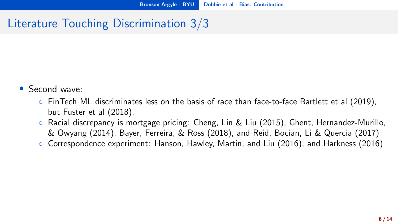## Literature Touching Discrimination 3/3

- Second wave:
	- FinTech ML discriminates less on the basis of race than face-to-face Bartlett et al (2019), but Fuster et al (2018).
	- Racial discrepancy is mortgage pricing: Cheng, Lin & Liu (2015), Ghent, Hernandez-Murillo, & Owyang (2014), Bayer, Ferreira, & Ross (2018), and Reid, Bocian, Li & Quercia (2017)
	- Correspondence experiment: Hanson, Hawley, Martin, and Liu (2016), and Harkness (2016)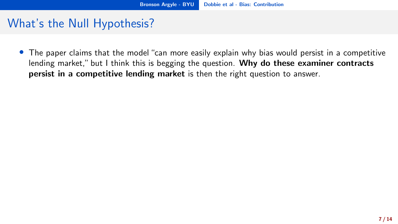• The paper claims that the model "can more easily explain why bias would persist in a competitive lending market," but I think this is begging the question. Why do these examiner contracts persist in a competitive lending market is then the right question to answer.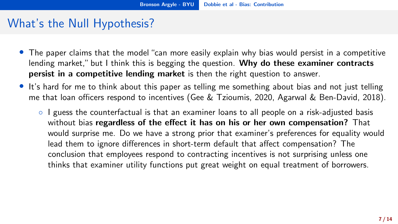- The paper claims that the model "can more easily explain why bias would persist in a competitive lending market," but I think this is begging the question. Why do these examiner contracts persist in a competitive lending market is then the right question to answer.
- It's hard for me to think about this paper as telling me something about bias and not just telling me that loan officers respond to incentives (Gee & Tzioumis, 2020, Agarwal & Ben-David, 2018).
	- I guess the counterfactual is that an examiner loans to all people on a risk-adjusted basis without bias regardless of the effect it has on his or her own compensation? That would surprise me. Do we have a strong prior that examiner's preferences for equality would lead them to ignore differences in short-term default that affect compensation? The conclusion that employees respond to contracting incentives is not surprising unless one thinks that examiner utility functions put great weight on equal treatment of borrowers.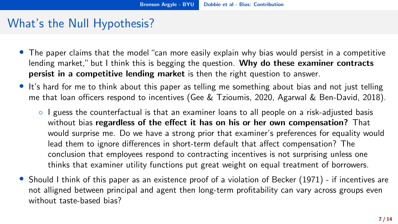- The paper claims that the model "can more easily explain why bias would persist in a competitive lending market," but I think this is begging the question. Why do these examiner contracts persist in a competitive lending market is then the right question to answer.
- It's hard for me to think about this paper as telling me something about bias and not just telling me that loan officers respond to incentives (Gee & Tzioumis, 2020, Agarwal & Ben-David, 2018).
	- I guess the counterfactual is that an examiner loans to all people on a risk-adjusted basis without bias regardless of the effect it has on his or her own compensation? That would surprise me. Do we have a strong prior that examiner's preferences for equality would lead them to ignore differences in short-term default that affect compensation? The conclusion that employees respond to contracting incentives is not surprising unless one thinks that examiner utility functions put great weight on equal treatment of borrowers.
- Should I think of this paper as an existence proof of a violation of Becker (1971) if incentives are not alligned between principal and agent then long-term profitability can vary across groups even without taste-based bias?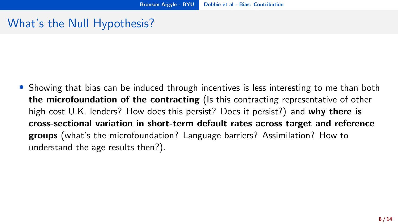• Showing that bias can be induced through incentives is less interesting to me than both the microfoundation of the contracting (Is this contracting representative of other high cost U.K. lenders? How does this persist? Does it persist?) and why there is cross-sectional variation in short-term default rates across target and reference groups (what's the microfoundation? Language barriers? Assimilation? How to understand the age results then?).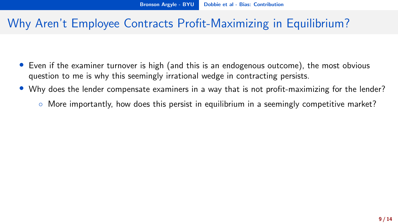#### Why Aren't Employee Contracts Profit-Maximizing in Equilibrium?

- Even if the examiner turnover is high (and this is an endogenous outcome), the most obvious question to me is why this seemingly irrational wedge in contracting persists.
- Why does the lender compensate examiners in a way that is not profit-maximizing for the lender?
	- More importantly, how does this persist in equilibrium in a seemingly competitive market?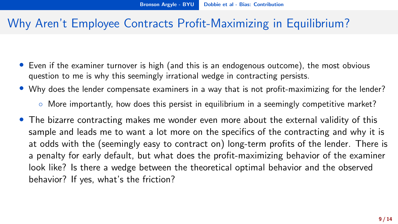#### Why Aren't Employee Contracts Profit-Maximizing in Equilibrium?

- Even if the examiner turnover is high (and this is an endogenous outcome), the most obvious question to me is why this seemingly irrational wedge in contracting persists.
- Why does the lender compensate examiners in a way that is not profit-maximizing for the lender?
	- More importantly, how does this persist in equilibrium in a seemingly competitive market?
- The bizarre contracting makes me wonder even more about the external validity of this sample and leads me to want a lot more on the specifics of the contracting and why it is at odds with the (seemingly easy to contract on) long-term profits of the lender. There is a penalty for early default, but what does the profit-maximizing behavior of the examiner look like? Is there a wedge between the theoretical optimal behavior and the observed behavior? If yes, what's the friction?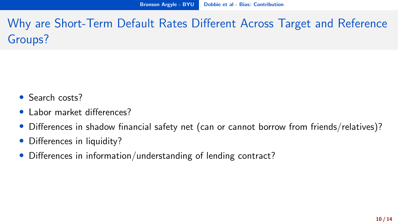Why are Short-Term Default Rates Different Across Target and Reference Groups?

- Search costs?
- Labor market differences?
- Differences in shadow financial safety net (can or cannot borrow from friends/relatives)?
- Differences in liquidity?
- Differences in information/understanding of lending contract?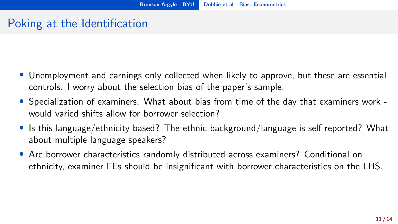### <span id="page-16-0"></span>Poking at the Identification

- Unemployment and earnings only collected when likely to approve, but these are essential controls. I worry about the selection bias of the paper's sample.
- Specialization of examiners. What about bias from time of the day that examiners work would varied shifts allow for borrower selection?
- Is this language/ethnicity based? The ethnic background/language is self-reported? What about multiple language speakers?
- Are borrower characteristics randomly distributed across examiners? Conditional on ethnicity, examiner FEs should be insignificant with borrower characteristics on the LHS.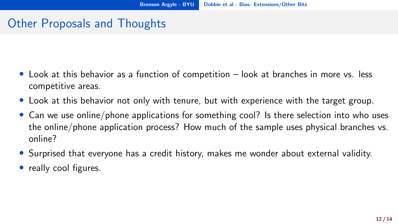#### <span id="page-17-0"></span>Other Proposals and Thoughts

- Look at this behavior as a function of competition look at branches in more vs. less competitive areas.
- Look at this behavior not only with tenure, but with experience with the target group.
- Can we use online/phone applications for something cool? Is there selection into who uses the online/phone application process? How much of the sample uses physical branches vs. online?
- Surprised that everyone has a credit history, makes me wonder about external validity.
- really cool figures.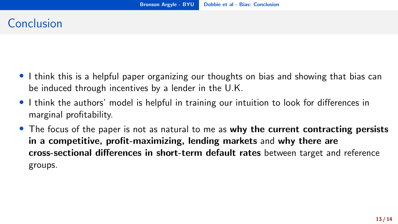#### <span id="page-18-0"></span>Conclusion

- I think this is a helpful paper organizing our thoughts on bias and showing that bias can be induced through incentives by a lender in the U.K.
- I think the authors' model is helpful in training our intuition to look for differences in marginal profitability.
- The focus of the paper is not as natural to me as why the current contracting persists in a competitive, profit-maximizing, lending markets and why there are cross-sectional differences in short-term default rates between target and reference groups.